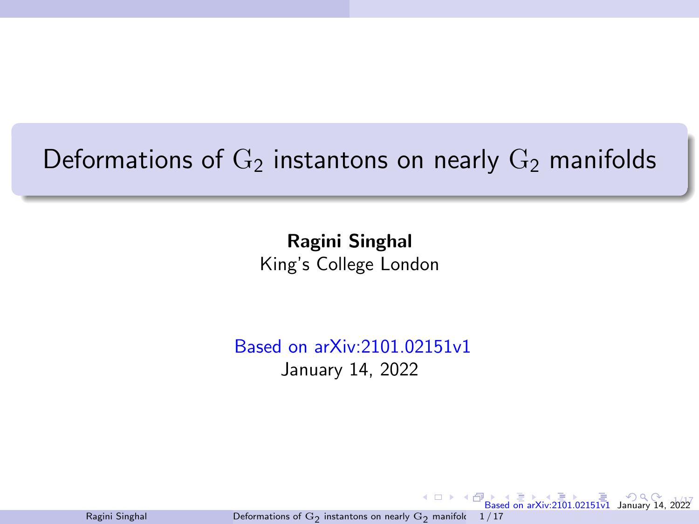# <span id="page-0-0"></span>Deformations of  $G_2$  instantons on nearly  $G_2$  manifolds

Ragini Singhal King's College London

Based on arXiv:2101.02151v1 January 14, 2022

Ragini Singhal Deformations of  $\mathrm{G}_2$  [instantons on nearly](#page-41-0)  $\mathrm{G}_2$  manifold  $1/17$ 

4 0 8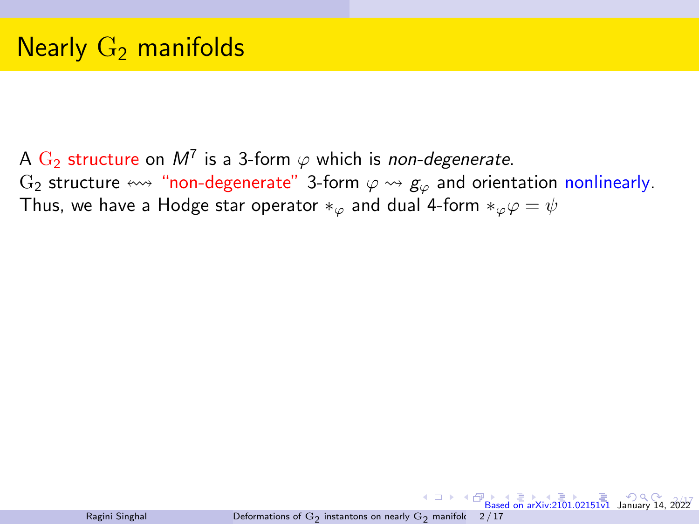<span id="page-1-0"></span>A  $\mathrm{G}_2$  structure on  $M^7$  is a 3-form  $\varphi$  which is *non-degenerate*. G<sub>2</sub> structure  $\leftrightarrow$  "non-degenerate" 3-form  $\varphi \leftrightarrow g_{\varphi}$  and orientation nonlinearly. Thus, we have a Hodge star operator  $*_\varphi$  and dual 4-form  $*_\varphi \varphi = \psi$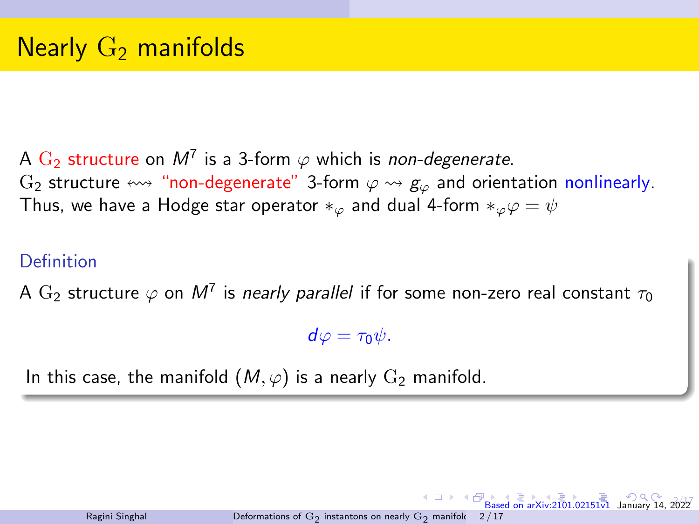<span id="page-2-0"></span>A  $\mathrm{G}_2$  structure on  $M^7$  is a 3-form  $\varphi$  which is *non-degenerate*. G<sub>2</sub> structure  $\leftrightarrow$  "non-degenerate" 3-form  $\varphi \leftrightarrow g_{\varphi}$  and orientation nonlinearly. Thus, we have a Hodge star operator  $*_\varphi$  and dual 4-form  $*_\varphi \varphi = \psi$ 

#### Definition

A  $\mathrm{G}_2$  structure  $\varphi$  on  $M^7$  is *nearly parallel* if for some non-zero real constant  $\tau_0$ 

 $d\varphi = \tau_0 \psi$ .

In this case, the manifold  $(M, \varphi)$  is a nearly  $G_2$  manifold.

 $202$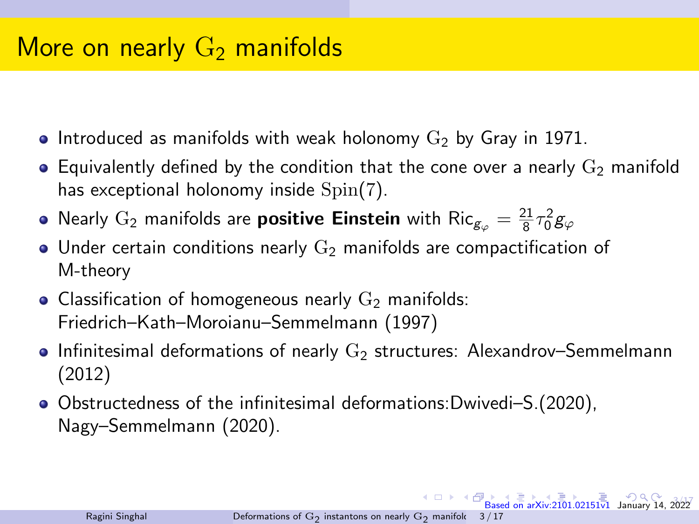# <span id="page-3-0"></span>More on nearly  $G_2$  manifolds

- Introduced as manifolds with weak holonomy  $G_2$  by Gray in 1971.
- **Equivalently defined by the condition that the cone over a nearly**  $G_2$  **manifold** has exceptional holonomy inside Spin(7).
- Nearly  $\mathrm{G}_2$  manifolds are **positive Einstein** with  $\mathrm{Ric}_{g_\varphi} = \frac{21}{8}\tau_0^2 g_\varphi$
- Under certain conditions nearly  $G_2$  manifolds are compactification of M-theory
- Classification of homogeneous nearly  $G_2$  manifolds: Friedrich–Kath–Moroianu–Semmelmann (1997)
- **Infinitesimal deformations of nearly**  $G<sub>2</sub>$  **structures: Alexandrov–Semmelmann** (2012)
- Obstructedness of the infinitesimal deformations:Dwivedi–S.(2020), Nagy–Semmelmann (2020).

 $3.57$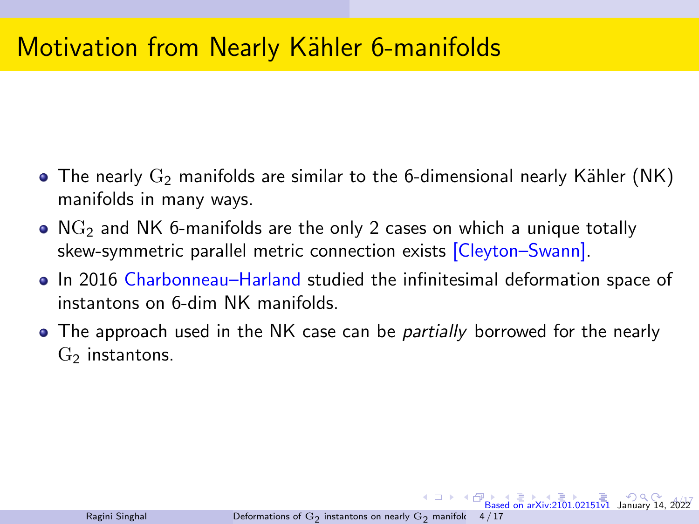# <span id="page-4-0"></span>**Motivation from Nearly Kähler 6-manifolds**

- The nearly  $G_2$  manifolds are similar to the 6-dimensional nearly Kähler (NK) manifolds in many ways.
- $\bullet$  NG<sub>2</sub> and NK 6-manifolds are the only 2 cases on which a unique totally skew-symmetric parallel metric connection exists [Cleyton–Swann].
- In 2016 Charbonneau–Harland studied the infinitesimal deformation space of instantons on 6-dim NK manifolds.
- The approach used in the NK case can be *partially* borrowed for the nearly  $G<sub>2</sub>$  instantons.

 $4h$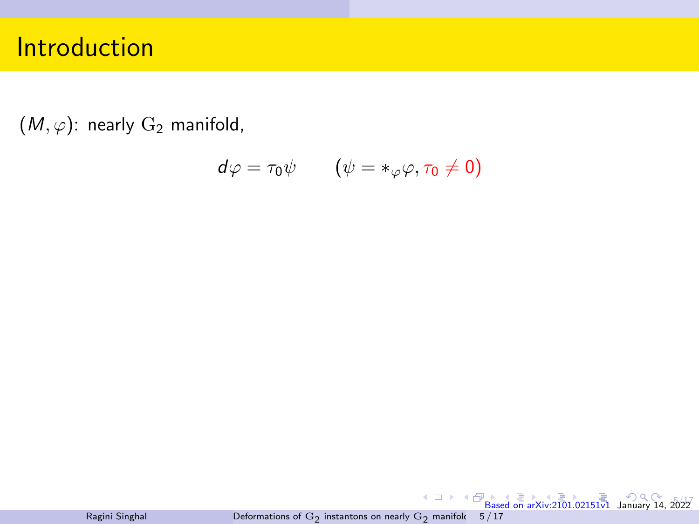<span id="page-5-0"></span> $(M, \varphi)$ : nearly  $G_2$  manifold,

$$
d\varphi = \tau_0 \psi \qquad (\psi = *_{\varphi} \varphi, \tau_0 \neq 0)
$$

[B](#page-9-0)[as](#page-10-0)[ed o](#page-0-0)[n arX](#page-41-0)[iv:21](#page-0-0)[01.0](#page-41-0)[2151](#page-0-0)[v1](#page-41-0) January 14, 2022 Ragini Singhal Deformations of  $\mathrm{G}_2$  [instantons on nearly](#page-0-0)  $\mathrm{G}_2$  manifold 5 / 17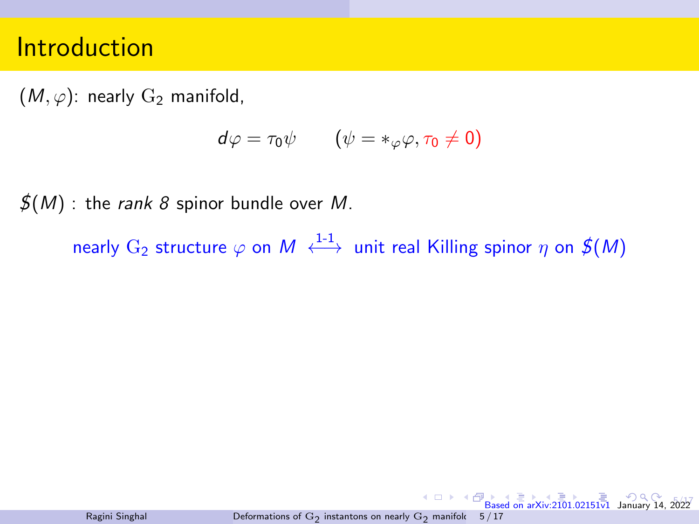$(M, \varphi)$ : nearly  $G_2$  manifold,

$$
d\varphi = \tau_0 \psi \qquad (\psi = *_{\varphi} \varphi, \tau_0 \neq 0)
$$

 $\mathcal{J}(M)$  : the rank 8 spinor bundle over M.

nearly  $\mathrm{G}_2$  structure  $\varphi$  on  $M \stackrel{1\text{-}1}{\longleftrightarrow}$  unit real Killing spinor  $\eta$  on  $\textbf{\textit{f}}(M)$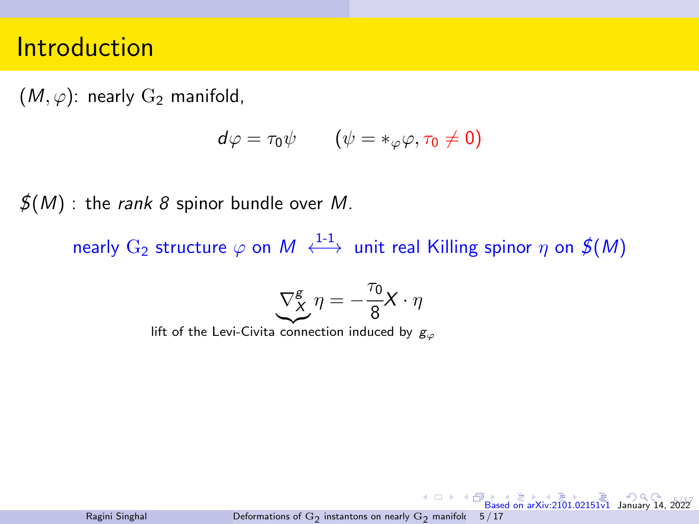$(M, \varphi)$ : nearly  $G_2$  manifold,

$$
d\varphi = \tau_0 \psi \qquad (\psi = *_{\varphi} \varphi, \tau_0 \neq 0)
$$

 $\mathcal{J}(M)$  : the rank 8 spinor bundle over M.

nearly  $\mathrm{G}_2$  structure  $\varphi$  on  $M \stackrel{1\text{-}1}{\longleftrightarrow}$  unit real Killing spinor  $\eta$  on  $\textbf{\textit{f}}(M)$ 

$$
\underbrace{\nabla^g_X}\eta=-\frac{\tau_0}{8}X\cdot\eta
$$

lift of the Levi-Civita connection induced by  $g_{\varphi}$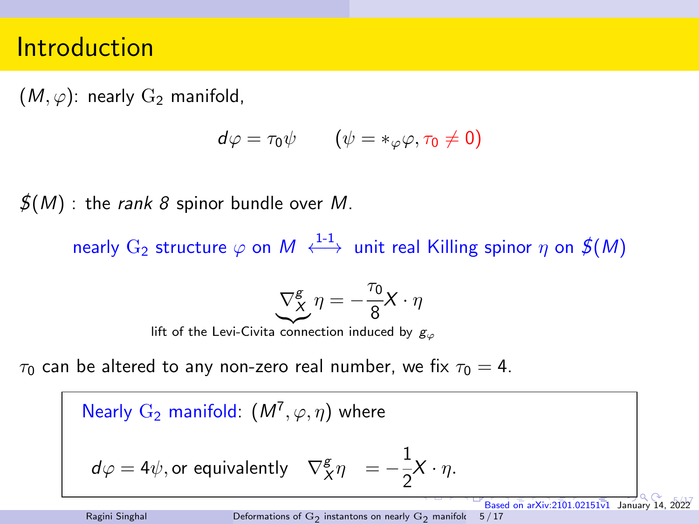$(M, \varphi)$ : nearly  $G_2$  manifold,

$$
d\varphi = \tau_0 \psi \qquad (\psi = *_{\varphi} \varphi, \tau_0 \neq 0)
$$

 $\mathcal{J}(M)$  : the rank 8 spinor bundle over M.

nearly  $\mathrm{G}_2$  structure  $\varphi$  on  $M \stackrel{1\text{-}1}{\longleftrightarrow}$  unit real Killing spinor  $\eta$  on  $\textbf{\textit{f}}(M)$ 

$$
\underbrace{\nabla^g_X}\eta=-\frac{\tau_0}{8}X\cdot\eta
$$

lift of the Levi-Civita connection induced by  $g_{\varphi}$ 

 $\tau_0$  can be altered to any non-zero real number, we fix  $\tau_0 = 4$ .

Nearly  $G_2$  manifold:  $(M^7, \varphi, \eta)$  where

$$
d\varphi = 4\psi
$$
, or equivalently  $\nabla^g_X \eta = -\frac{1}{2}X \cdot \eta$ .

 $5.77$ 

[B](#page-9-0)[as](#page-10-0)[ed o](#page-0-0)[n arX](#page-41-0)iv: $2101.02151\overline{v1}$  $2101.02151\overline{v1}$  $2101.02151\overline{v1}$  $2101.02151\overline{v1}$  $2101.02151\overline{v1}$  $2101.02151\overline{v1}$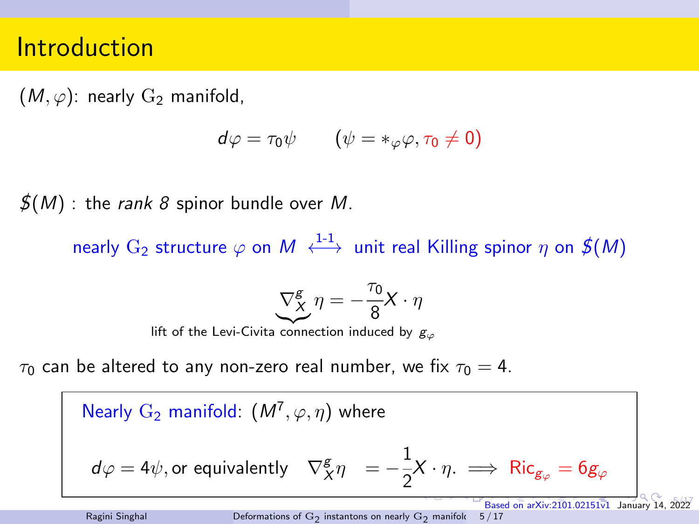<span id="page-9-0"></span> $(M, \varphi)$ : nearly  $G_2$  manifold,

$$
d\varphi = \tau_0 \psi \qquad (\psi = *_{\varphi} \varphi, \tau_0 \neq 0)
$$

 $\mathcal{J}(M)$  : the rank 8 spinor bundle over M.

nearly  $\mathrm{G}_2$  structure  $\varphi$  on  $M \stackrel{1\text{-}1}{\longleftrightarrow}$  unit real Killing spinor  $\eta$  on  $\textbf{\textit{f}}(M)$ 

$$
\underbrace{\nabla^g_X}\eta=-\frac{\tau_0}{8}X\cdot\eta
$$

lift of the Levi-Civita connection induced by  $g_{\varphi}$ 

 $\tau_0$  can be altered to any non-zero real number, we fix  $\tau_0 = 4$ .

Nearly  $G_2$  manifold:  $(M^7, \varphi, \eta)$  where  $d\varphi=4\psi,$  or equivalently  $-\nabla^{\mathcal{g}}_{X}\eta=-\frac{1}{2}$  $\frac{1}{2}X \cdot \eta$ .  $\implies$  Ric<sub>g<sub> $\varphi$ </sub> = 6g<sub> $\varphi$ </sub></sub> [B](#page-9-0)[as](#page-10-0)[ed o](#page-0-0)[n arX](#page-41-0)[iv:21](#page-0-0)[01.0](#page-41-0)[2151](#page-0-0) $\overline{v}$ 1 January 14

Ragini Singhal Deformations of  $\mathrm{G}_2$  [instantons on nearly](#page-0-0)  $\mathrm{G}_2$  manifold 5 / 17  $5.77$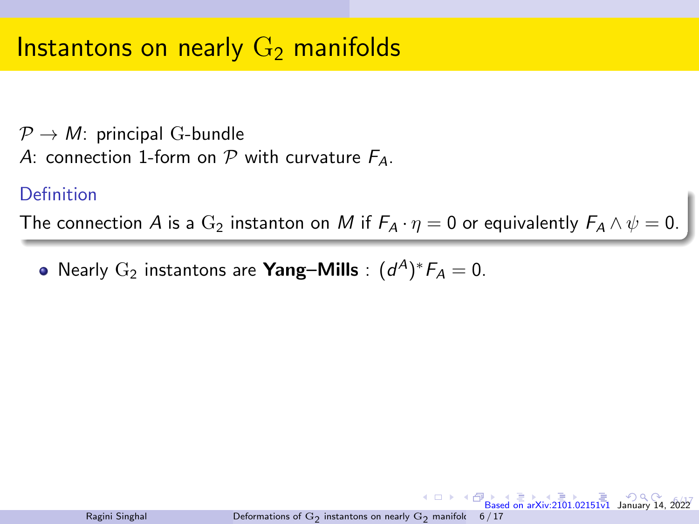<span id="page-10-0"></span> $\mathcal{P} \rightarrow M$ : principal G-bundle A: connection 1-form on  $P$  with curvature  $F_A$ .

#### Definition

The connection A is a  $\mathrm{G}_2$  instanton on M if  $F_A \cdot \eta = 0$  or equivalently  $F_A \wedge \psi = 0$ .

Nearly  $\mathrm{G}_2$  instantons are **Yang–Mills** :  $(d^A)^*F_A = 0$ .

Ragini Singhal Deformations of  $\mathrm{G}_2$  [instantons on nearly](#page-0-0)  $\mathrm{G}_2$  manifold  $\overline{\bigoplus}_{\text{Based on arXiv}:2101.02151v1}$  $\overline{\bigoplus}_{\text{Based on arXiv}:2101.02151v1}$  $\overline{\bigoplus}_{\text{Based on arXiv}:2101.02151v1}$  $\overline{\bigoplus}_{\text{Based on arXiv}:2101.02151v1}$  $\overline{\bigoplus}_{\text{Based on arXiv}:2101.02151v1}$  $\overline{\bigoplus}_{\text{Based on arXiv}:2101.02151v1}$  $\overline{\bigoplus}_{\text{Based on arXiv}:2101.02151v1}$  $\overline{\bigoplus}_{\text{Based on arXiv}:2101.02151v1}$  $\overline{\bigoplus}_{\text{Based on arXiv}:2101.02151v1}$  $\overline{\bigoplus}_{\text{Based on arXiv}:2101.02151v1}$  January 14, 6 / 17

6/17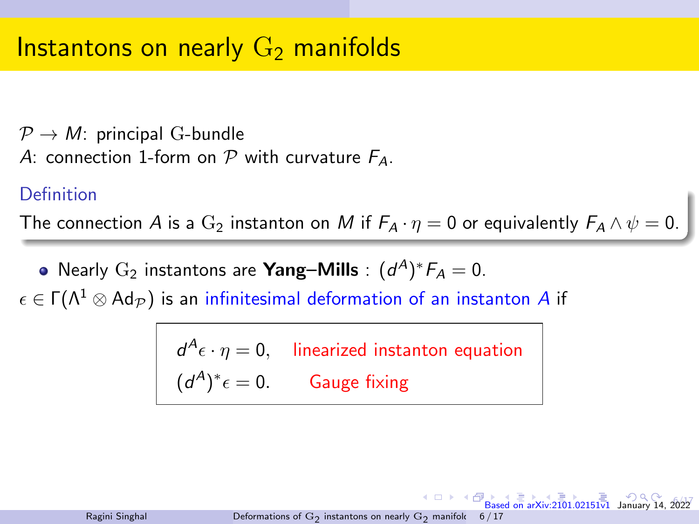$\mathcal{P} \rightarrow M$ : principal G-bundle A: connection 1-form on  $P$  with curvature  $F_A$ .

#### Definition

The connection A is a  $\mathrm{G}_2$  instanton on M if  $F_A \cdot \eta = 0$  or equivalently  $F_A \wedge \psi = 0$ .

Nearly  $\mathrm{G}_2$  instantons are **Yang–Mills** :  $(d^A)^*F_A = 0$ .  $\epsilon \in \Gamma(\Lambda^1 \otimes \text{Ad}_{\mathcal{P}})$  is an infinitesimal deformation of an instanton A if

> $d^A \epsilon \cdot \eta = 0$ , linearized instanton equation  $(d^A)^*\epsilon=0.$  Gauge fixing

Ragini Singhal Deformations of  $\mathrm{G}_2$  [instantons on nearly](#page-0-0)  $\mathrm{G}_2$  manifold 6 / 17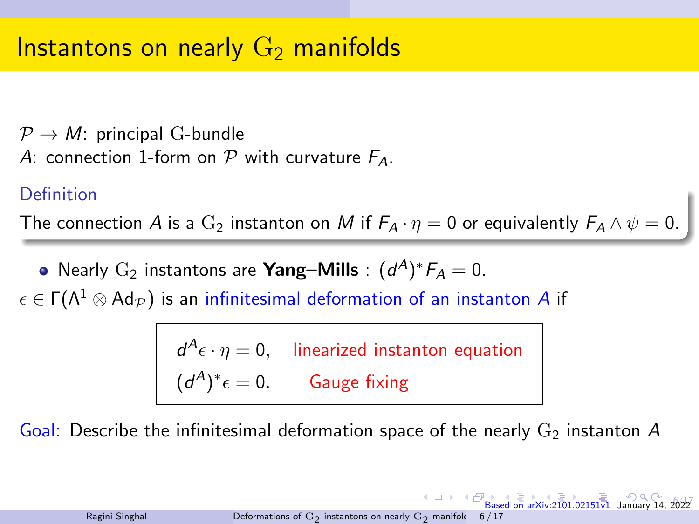<span id="page-12-0"></span> $\mathcal{P} \rightarrow M$ : principal G-bundle A: connection 1-form on  $P$  with curvature  $F_A$ .

#### Definition

The connection A is a  $\mathrm{G}_2$  instanton on M if  $F_A \cdot \eta = 0$  or equivalently  $F_A \wedge \psi = 0$ .

Nearly  $\mathrm{G}_2$  instantons are **Yang–Mills** :  $(d^A)^*F_A = 0$ .  $\epsilon \in \Gamma(\Lambda^1 \otimes \text{Ad}_{\mathcal{P}})$  is an infinitesimal deformation of an instanton A if

> $d^A \epsilon \cdot \eta = 0$ , linearized instanton equation  $(d^A)^*\epsilon=0.$  Gauge fixing

Goal: Describe the infinitesimal deformation space of the nearly  $G<sub>2</sub>$  instanton A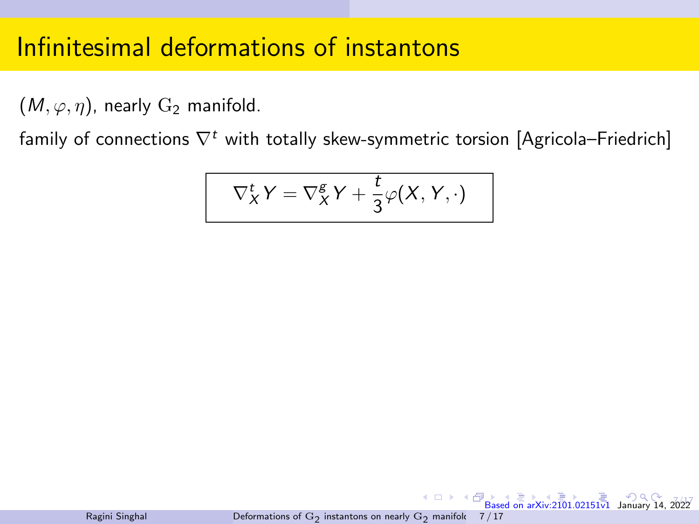<span id="page-13-0"></span> $(M, \varphi, \eta)$ , nearly  $G_2$  manifold.

family of connections  $\nabla^t$  with totally skew-symmetric torsion [Agricola–Friedrich]

$$
\nabla_X^t Y = \nabla_X^g Y + \frac{t}{3} \varphi(X, Y, \cdot)
$$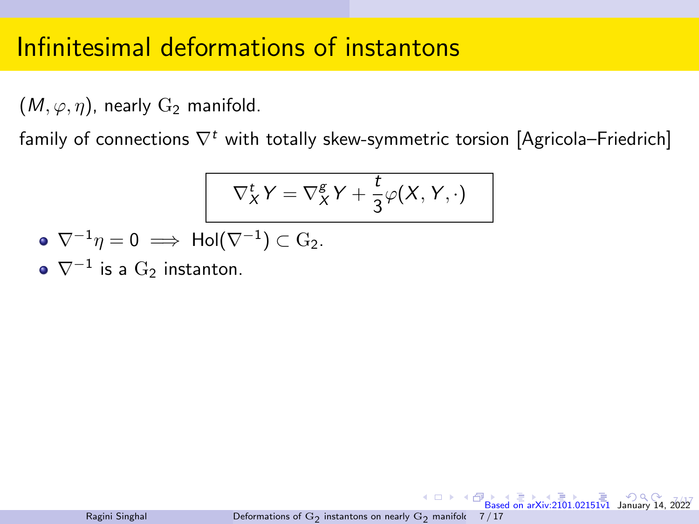$(M, \varphi, \eta)$ , nearly  $G_2$  manifold.

family of connections  $\nabla^t$  with totally skew-symmetric torsion [Agricola–Friedrich]

$$
\nabla_X^t Y = \nabla_X^g Y + \frac{t}{3} \varphi(X, Y, \cdot)
$$

$$
\bullet \ \nabla^{-1} \eta = 0 \implies Hol(\nabla^{-1}) \subset G_2.
$$

 $\nabla^{-1}$  is a  $\mathrm{G}_2$  instanton.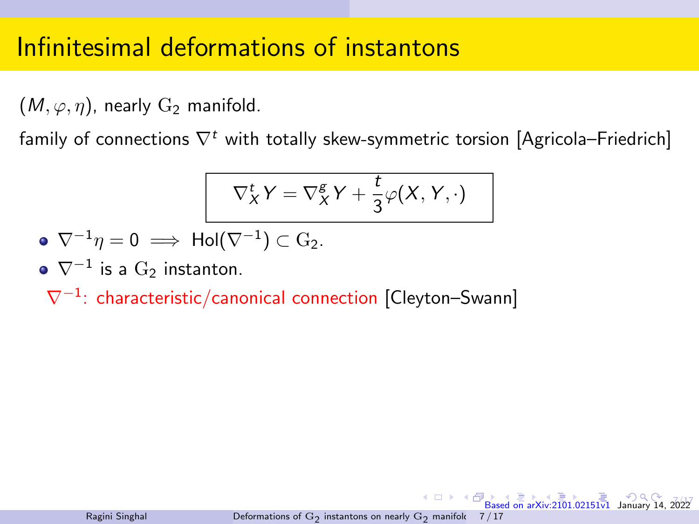$(M, \varphi, \eta)$ , nearly  $G_2$  manifold.

family of connections  $\nabla^t$  with totally skew-symmetric torsion [Agricola–Friedrich]

$$
\nabla_X^t Y = \nabla_X^g Y + \frac{t}{3} \varphi(X, Y, \cdot)
$$

$$
\bullet \ \nabla^{-1} \eta = 0 \implies \mathsf{Hol}(\nabla^{-1}) \subset \mathrm{G}_2.
$$

 $\nabla^{-1}$  is a  $\mathrm{G}_2$  instanton.

∇<sup>−</sup><sup>1</sup> : characteristic/canonical connection [Cleyton–Swann]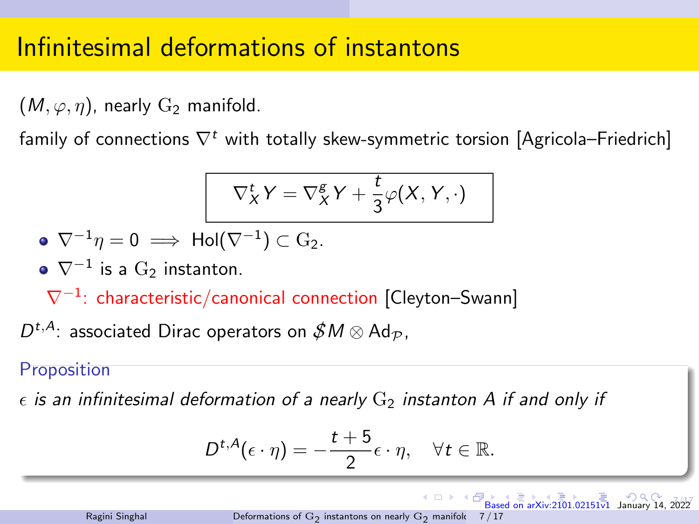<span id="page-16-0"></span> $(M, \varphi, \eta)$ , nearly  $G_2$  manifold.

family of connections  $\nabla^t$  with totally skew-symmetric torsion [Agricola–Friedrich]

$$
\nabla^t_X Y = \nabla^g_X Y + \frac{t}{3} \varphi(X, Y, \cdot)
$$

$$
\bullet \ \nabla^{-1} \eta = 0 \implies \mathsf{Hol}(\nabla^{-1}) \subset \mathrm{G}_2.
$$

 $\nabla^{-1}$  is a  $\mathrm{G}_2$  instanton.

∇<sup>−</sup><sup>1</sup> : characteristic/canonical connection [Cleyton–Swann]

 $D^{t,A}\colon$  associated Dirac operators on  $\mathscr{S} M\otimes \mathsf{Ad}_\mathcal{P},$ 

#### Proposition

 $\epsilon$  is an infinitesimal deformation of a nearly  $G_2$  instanton A if and only if

$$
D^{t,A}(\epsilon \cdot \eta) = -\frac{t+5}{2}\epsilon \cdot \eta, \quad \forall t \in \mathbb{R}.
$$

 $7.77$ 

 $\overline{B}$  $\overline{B}$  $\overline{B}$   $\overline{B}$   $\overline{C}$   $\overline{D}$   $\overline{D}$   $\overline{D}$   $\overline{D}$   $\overline{D}$   $\overline{D}$   $\overline{D}$   $\overline{D}$   $\overline{D}$   $\overline{D}$   $\overline{D}$   $\overline{D}$   $\overline{D}$   $\overline{D}$   $\overline{D}$   $\overline{D}$   $\overline{D}$   $\overline{D}$   $\overline{D}$   $\overline{D}$   $\overline{D}$   $\overline{$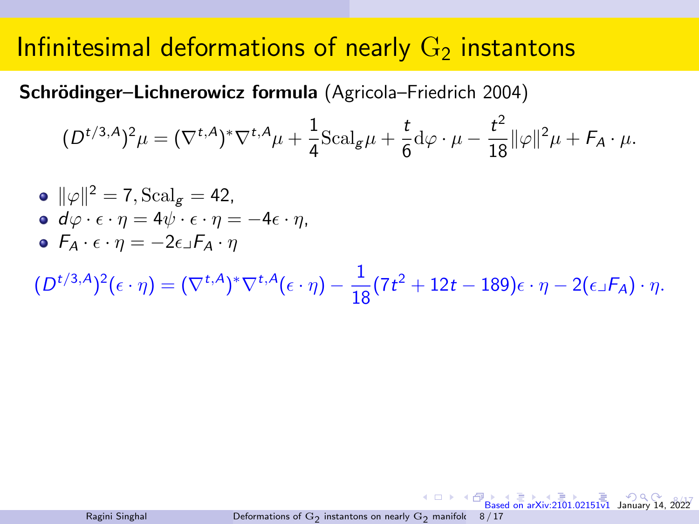### <span id="page-17-0"></span>Infinitesimal deformations of nearly  $G_2$  instantons

Schrödinger–Lichnerowicz formula (Agricola–Friedrich 2004)

$$
(D^{t/3,A})^2 \mu = (\nabla^{t,A})^* \nabla^{t,A} \mu + \frac{1}{4} \text{Scal}_{g} \mu + \frac{t}{6} d\varphi \cdot \mu - \frac{t^2}{18} ||\varphi||^2 \mu + F_A \cdot \mu.
$$

\n- \n
$$
\|\varphi\|^2 = 7
$$
, \n  $\text{Scal}_g = 42$ , \n  $\mathbf{d}\varphi \cdot \epsilon \cdot \eta = 4\psi \cdot \epsilon \cdot \eta = -4\epsilon \cdot \eta$ , \n  $\mathbf{F}_A \cdot \epsilon \cdot \eta = -2\epsilon \cdot \mathbf{F}_A \cdot \eta$ \n
\n

 $(D^{t/3,A})^2(\epsilon\cdot\eta)=(\nabla^{t,A})^*\nabla^{t,A}(\epsilon\cdot\eta)-\frac{1}{16\epsilon}$  $\frac{1}{18}(7t^2+12t-189)\epsilon\cdot\eta-2(\epsilon\mathbb{I}F_A)\cdot\eta.$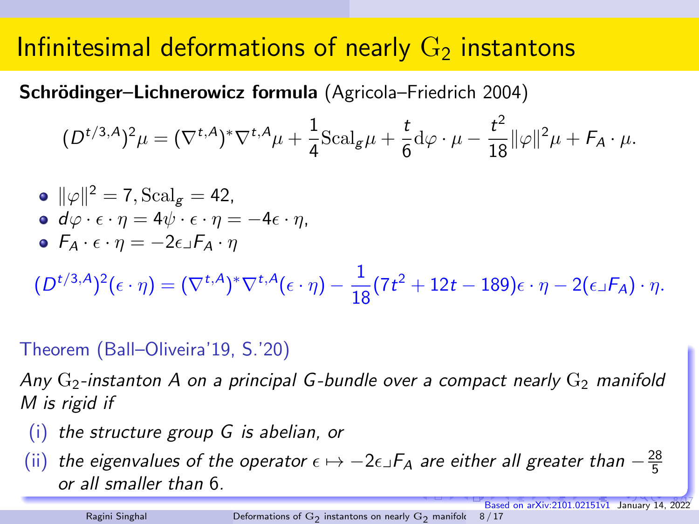# <span id="page-18-0"></span>Infinitesimal deformations of nearly  $G_2$  instantons

Schrödinger–Lichnerowicz formula (Agricola–Friedrich 2004)

$$
(D^{t/3,A})^2\mu = (\nabla^{t,A})^* \nabla^{t,A} \mu + \frac{1}{4} \text{Scal}_{g} \mu + \frac{t}{6} d\varphi \cdot \mu - \frac{t^2}{18} ||\varphi||^2 \mu + F_A \cdot \mu.
$$

\n- \n
$$
\|\varphi\|^2 = 7
$$
, \n  $\text{Scal}_g = 42$ ,\n
\n- \n $d\varphi \cdot \epsilon \cdot \eta = 4\psi \cdot \epsilon \cdot \eta = -4\epsilon \cdot \eta$ ,\n
\n- \n $F_A \cdot \epsilon \cdot \eta = -2\epsilon \cdot F_A \cdot \eta$ \n
\n- \n $(D^{t/3,A})^2(\epsilon \cdot \eta) = (\nabla^{t,A})^* \nabla^{t,A}(\epsilon \cdot \eta) - \frac{1}{18}(7t^2 + 12t - 189)\epsilon \cdot \eta - 2(\epsilon \cdot F_A) \cdot \eta$ .\n
\n

### Theorem (Ball–Oliveira'19, S.'20)

Any  $G_2$ -instanton A on a principal G-bundle over a compact nearly  $G_2$  manifold M is rigid if

- (i) the structure group G is abelian, or
- (ii) the eigenvalues of the operator  $\epsilon \mapsto -2\epsilon \lrcorner F_A$  are either all greater than  $-\frac{28}{5}$ or all smaller than 6.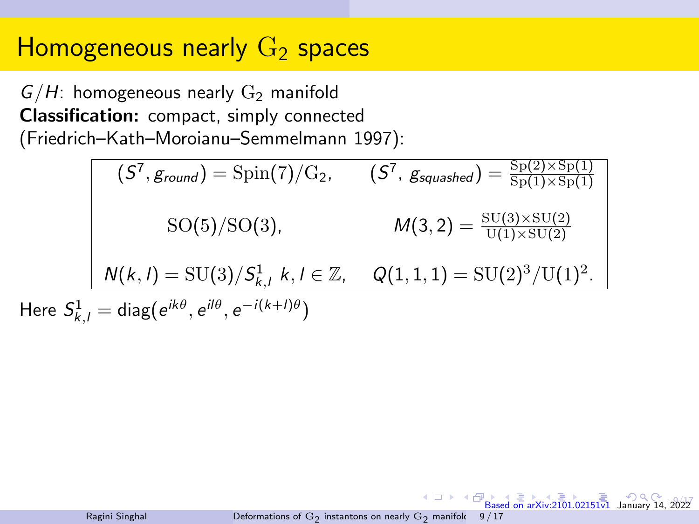# <span id="page-19-0"></span>Homogeneous nearly  $G_2$  spaces

 $G/H$ : homogeneous nearly  $G_2$  manifold Classification: compact, simply connected (Friedrich–Kath–Moroianu–Semmelmann 1997):

 $\mathcal{S}(\mathcal{S}^7, g_{round}) = \mathrm{Spin}(7)/\mathrm{G}_2, \quad \quad (\mathcal{S}^7, g_{squashed}) = \frac{\mathrm{Sp}(2) \times \mathrm{Sp}(1)}{\mathrm{Sp}(1) \times \mathrm{Sp}(1)}$ SO(5)/SO(3),  $M(3, 2) = \frac{\text{SU}(3) \times \text{SU}(2)}{\text{U}(1) \times \text{SU}(2)}$  $N(k, l) = \text{SU}(3)/S_{k, l}^1$ ,  $k, l \in \mathbb{Z}$ ,  $Q(1, 1, 1) = \text{SU}(2)^3/\text{U}(1)^2$ . Here  $S^1_{k,l} = \text{diag}(e^{ik\theta}, e^{il\theta}, e^{-i(k+l)\theta})$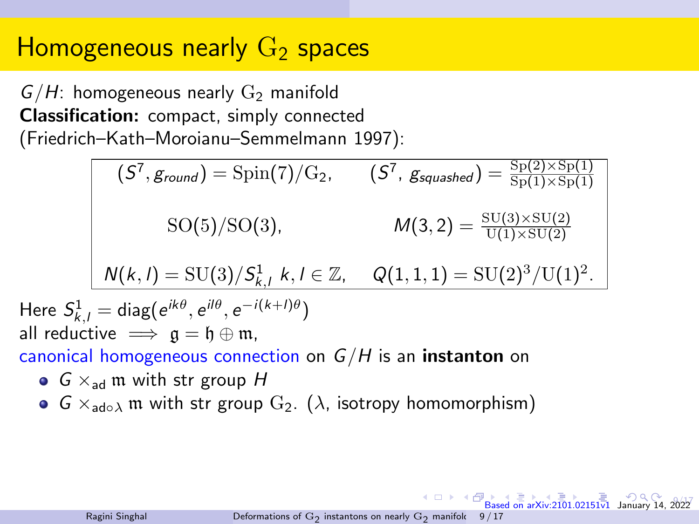# Homogeneous nearly  $G_2$  spaces

 $G/H$ : homogeneous nearly  $G_2$  manifold Classification: compact, simply connected (Friedrich–Kath–Moroianu–Semmelmann 1997):

 $\mathcal{S}(\mathcal{S}^7, g_{round}) = \mathrm{Spin}(7)/\mathrm{G}_2, \quad \quad (\mathcal{S}^7, g_{squashed}) = \frac{\mathrm{Sp}(2) \times \mathrm{Sp}(1)}{\mathrm{Sp}(1) \times \mathrm{Sp}(1)}$ SO(5)/SO(3),  $M(3, 2) = \frac{\text{SU}(3) \times \text{SU}(2)}{\text{U}(1) \times \text{SU}(2)}$  $N(k, l) = \text{SU}(3)/S_{k, l}^1$ ,  $k, l \in \mathbb{Z}$ ,  $Q(1, 1, 1) = \text{SU}(2)^3/\text{U}(1)^2$ . Here  $S^1_{k,l} = \text{diag}(e^{ik\theta}, e^{il\theta}, e^{-i(k+l)\theta})$ all reductive  $\implies \mathfrak{g} = \mathfrak{h} \oplus \mathfrak{m}$ , canonical homogeneous connection on  $G/H$  is an **instanton** on •  $G \times_{ad} m$  with str group H **G**  $\times_{\text{ad}\circ\lambda}$  m with str group  $G_2$ . ( $\lambda$ , isotropy homomorphism)

 $8.57$ 

 $\overline{B}$  $\overline{B}$  $\overline{B}$   $\overline{B}$   $\overline{C}$   $\overline{D}$   $\overline{D}$   $\overline{D}$   $\overline{D}$   $\overline{D}$   $\overline{D}$   $\overline{D}$   $\overline{D}$   $\overline{D}$   $\overline{D}$   $\overline{D}$   $\overline{D}$   $\overline{D}$   $\overline{D}$   $\overline{D}$   $\overline{D}$   $\overline{D}$   $\overline{D}$   $\overline{D}$   $\overline{D}$   $\overline{D}$   $\overline{$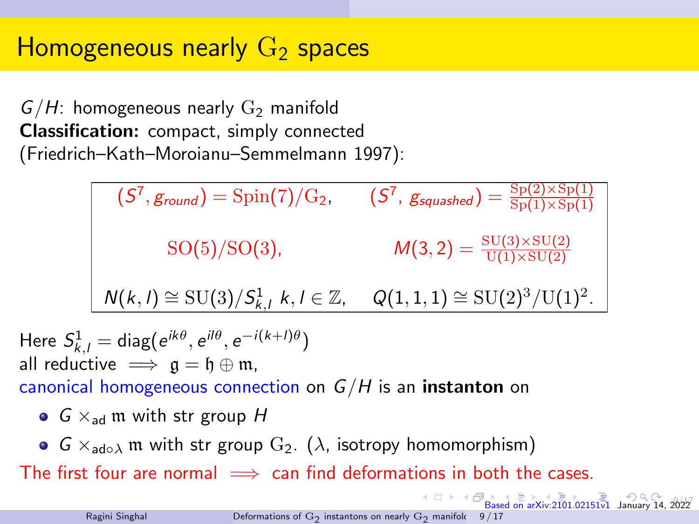# <span id="page-21-0"></span>Homogeneous nearly  $G_2$  spaces

 $G/H$ : homogeneous nearly  $G_2$  manifold Classification: compact, simply connected (Friedrich–Kath–Moroianu–Semmelmann 1997):

$$
(S7, ground) = Spin(7)/G2, (S7, gsquashed) = Sp(2) \times Sp(1) \nSO(5)/SO(3), (M(3, 2) = SU(3) \times SU(2) \nN(k, l) \approx SU(3)/Sk,l1 k, l \in \mathbb{Z}, Q(1, 1, 1) \approx SU(2)3/U(1)2.
$$

Here  $S^1_{k,l} = \text{diag}(e^{ik\theta}, e^{il\theta}, e^{-i(k+l)\theta})$ all reductive  $\implies a = b \oplus m$ .

canonical homogeneous connection on  $G/H$  is an instanton on

- $G \times_{ad} \mathfrak{m}$  with str group H
- $G \times_{\text{adoλ}} \mathfrak{m}$  with str group  $G_2$ . ( $\lambda$ , isotropy homomorphism)

The first four are normal  $\implies$  can find deformations in both the cases.

 $8.57$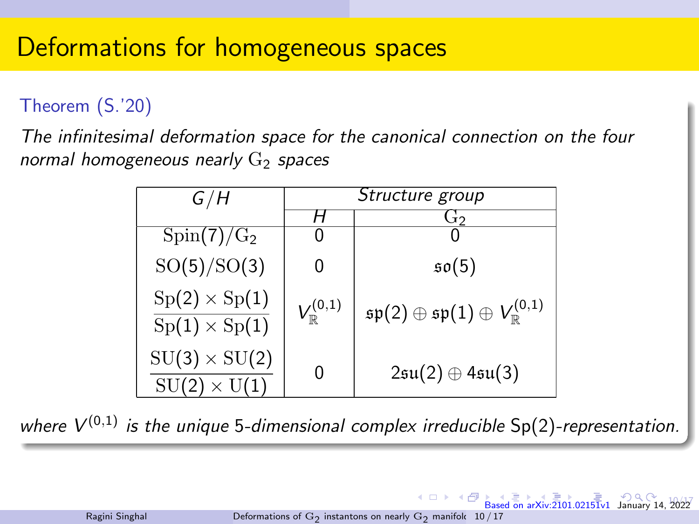# <span id="page-22-0"></span>Deformations for homogeneous spaces

### Theorem (S.'20)

The infinitesimal deformation space for the canonical connection on the four normal homogeneous nearly  $G<sub>2</sub>$  spaces

| G/H                                                           | Structure group          |                                                                       |
|---------------------------------------------------------------|--------------------------|-----------------------------------------------------------------------|
|                                                               |                          | ەتا                                                                   |
| $\text{Spin}(7)/\text{G}_2$                                   |                          |                                                                       |
| SO(5)/SO(3)                                                   | 0                        | $\mathfrak{so}(5)$                                                    |
| $Sp(2) \times Sp(1)$<br>$\mathrm{Sp}(1)\times \mathrm{Sp}(1)$ | $V^{(0,1)}_{\mathbb{R}}$ | $\mathfrak{sp}(2)\oplus \mathfrak{sp}(1)\oplus V^{(0,1)}_{\mathbb R}$ |
| $SU(3)\times SU(2)$<br>$SU(2) \times U(1)$                    | 0                        | $2\mathfrak{su}(2)\oplus 4\mathfrak{su}(3)$                           |

where  $V^{(0,1)}$  is the unique 5-dimensional complex irreducible  $Sp(2)$ -representation.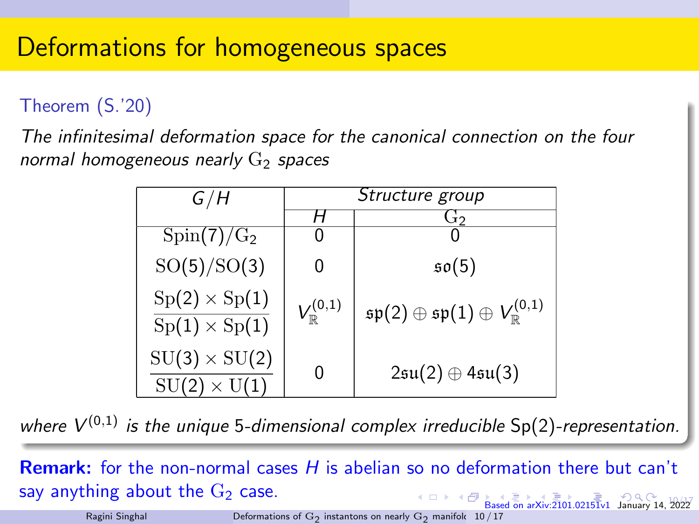# <span id="page-23-0"></span>Deformations for homogeneous spaces

### Theorem (S.'20)

The infinitesimal deformation space for the canonical connection on the four normal homogeneous nearly  $G<sub>2</sub>$  spaces

| G/H                                         | Structure group          |                                                                        |
|---------------------------------------------|--------------------------|------------------------------------------------------------------------|
|                                             |                          | طتا                                                                    |
| $Spin(7)/G_2$                               |                          |                                                                        |
| SO(5)/SO(3)                                 | 0                        | $\mathfrak{so}(5)$                                                     |
| $Sp(2) \times Sp(1)$<br>$Sp(1)\times Sp(1)$ | $V_{\mathbb{R}}^{(0,1)}$ | $\mathfrak{sp}(2)\oplus \mathfrak{sp}(1)\oplus V^{(0,1)}_{\mathbb{R}}$ |
| $SU(3) \times SU(2)$<br>$SU(2) \times U(1)$ | 0                        | $2\mathfrak{su}(2)\oplus 4\mathfrak{su}(3)$                            |

where  $V^{(0,1)}$  is the unique 5-dimensional complex irreducible  $Sp(2)$ -representation.

[Ba](#page-24-0)[sed](#page-0-0) [on ar](#page-41-0)[Xiv:2](#page-0-0)[101.](#page-41-0)[0215](#page-0-0) $\overline{1}$ v1 January 14, 2022 **Remark:** for the non-normal cases  $H$  is abelian so no deformation there but can't say anything about the  $G_2$  case.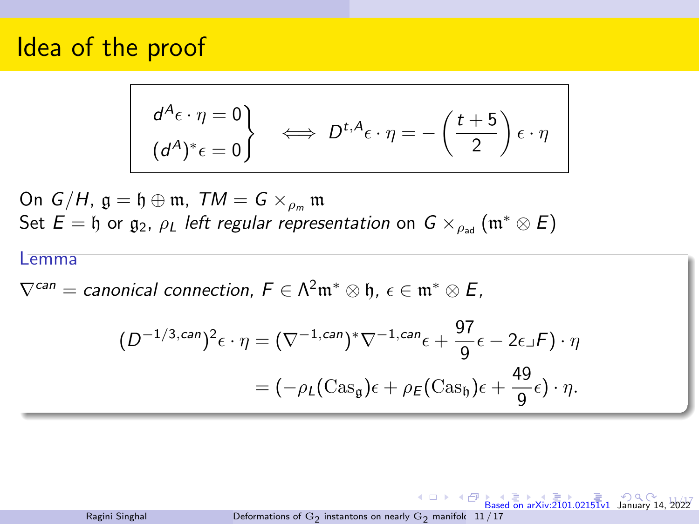<span id="page-24-0"></span>
$$
\begin{array}{c}\nd^{A}\epsilon \cdot \eta = 0 \\
(d^{A})^*\epsilon = 0\n\end{array}\n\iff D^{t,A}\epsilon \cdot \eta = -\left(\frac{t+5}{2}\right)\epsilon \cdot \eta
$$

On  $G/H$ ,  $\mathfrak{g} = \mathfrak{h} \oplus \mathfrak{m}$ ,  $TM = G \times_{\rho_m} \mathfrak{m}$ Set  $E = \mathfrak{h}$  or  $\mathfrak{g}_2$ ,  $\rho_L$  left regular representation on  $G \times_{\rho_{ad}} (\mathfrak{m}^* \otimes E)$ 

#### Lemma

 $\nabla^{can} =$  canonical connection,  $F \in \Lambda^2 \mathfrak{m}^* \otimes \mathfrak{h}$ ,  $\epsilon \in \mathfrak{m}^* \otimes E$ ,

$$
(D^{-1/3,can})^2 \epsilon \cdot \eta = (\nabla^{-1,can})^* \nabla^{-1,can} \epsilon + \frac{97}{9} \epsilon - 2\epsilon \mathbf{I} \mathbf{F}) \cdot \eta
$$

$$
= (-\rho_L (\text{Cas}_9) \epsilon + \rho_E (\text{Cas}_9) \epsilon + \frac{49}{9} \epsilon) \cdot \eta.
$$

Ragini Singhal Deformations of  $\mathrm{G}_2$  [instantons on nearly](#page-0-0)  $\mathrm{G}_2$  manifold  $~11/17$ 

4 0 8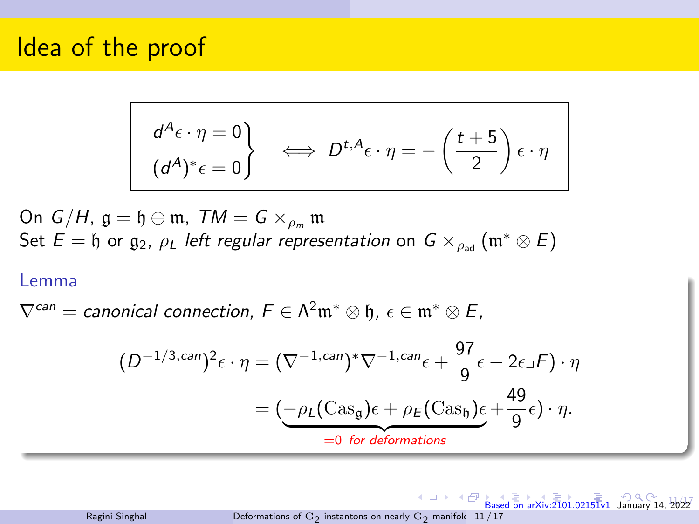<span id="page-25-0"></span>
$$
\begin{vmatrix} d^A \epsilon \cdot \eta = 0 \\ (d^A)^* \epsilon = 0 \end{vmatrix} \iff D^{t, A} \epsilon \cdot \eta = -\left(\frac{t+5}{2}\right) \epsilon \cdot \eta
$$

On  $G/H$ ,  $\mathfrak{g} = \mathfrak{h} \oplus \mathfrak{m}$ ,  $TM = G \times_{\rho_m} \mathfrak{m}$ Set  $E = \mathfrak{h}$  or  $\mathfrak{g}_2$ ,  $\rho_L$  left regular representation on  $G \times_{\rho_{ad}} (\mathfrak{m}^* \otimes E)$ 

#### Lemma

 $\nabla^{can} =$  canonical connection,  $F \in \Lambda^2\mathfrak{m}^* \otimes \mathfrak{h}$ ,  $\epsilon \in \mathfrak{m}^* \otimes E$ ,

$$
(D^{-1/3,can})^2 \epsilon \cdot \eta = (\nabla^{-1,can})^* \nabla^{-1,can} \epsilon + \frac{97}{9} \epsilon - 2\epsilon \lrcorner F) \cdot \eta
$$

$$
= \underbrace{(\neg \rho_L(\text{Cas}_9)\epsilon + \rho_E(\text{Cas}_9)\epsilon + \frac{49}{9}\epsilon) \cdot \eta}_{=0 \text{ for deformations}}.
$$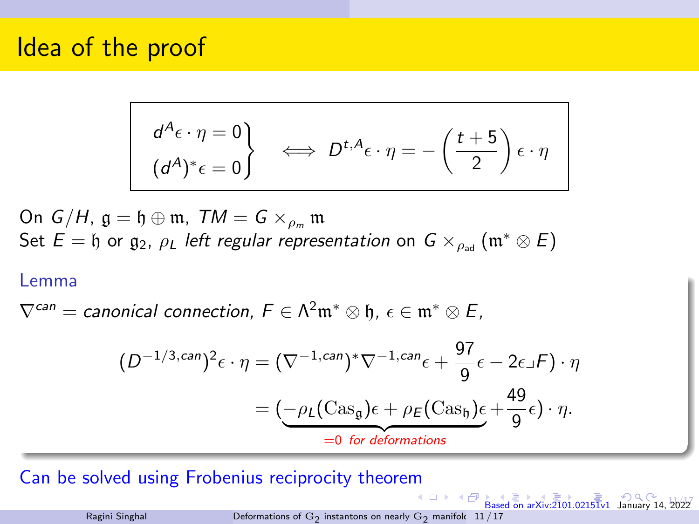<span id="page-26-0"></span>
$$
\begin{vmatrix} d^A \epsilon \cdot \eta = 0 \\ (d^A)^* \epsilon = 0 \end{vmatrix} \iff D^{t, A} \epsilon \cdot \eta = -\left(\frac{t+5}{2}\right) \epsilon \cdot \eta
$$

On  $G/H$ ,  $\mathfrak{g} = \mathfrak{h} \oplus \mathfrak{m}$ ,  $TM = G \times_{\rho_m} \mathfrak{m}$ Set  $E = \mathfrak{h}$  or  $\mathfrak{g}_2$ ,  $\rho_L$  left regular representation on  $G \times_{\rho_{ad}} (\mathfrak{m}^* \otimes E)$ 

#### Lemma

 $\nabla^{can} =$  canonical connection,  $F \in \Lambda^2\mathfrak{m}^* \otimes \mathfrak{h}$ ,  $\epsilon \in \mathfrak{m}^* \otimes E$ ,

$$
(D^{-1/3,can})^2 \epsilon \cdot \eta = (\nabla^{-1,can})^* \nabla^{-1,can} \epsilon + \frac{97}{9} \epsilon - 2\epsilon \lrcorner F) \cdot \eta
$$

$$
= \underbrace{(\neg \rho_L(\text{Cas}_9)\epsilon + \rho_E(\text{Cas}_9)\epsilon + \frac{49}{9}\epsilon) \cdot \eta}_{=0 \text{ for deformations}}.
$$

Can be solved using Frobenius reciprocity theore[m](#page-25-0)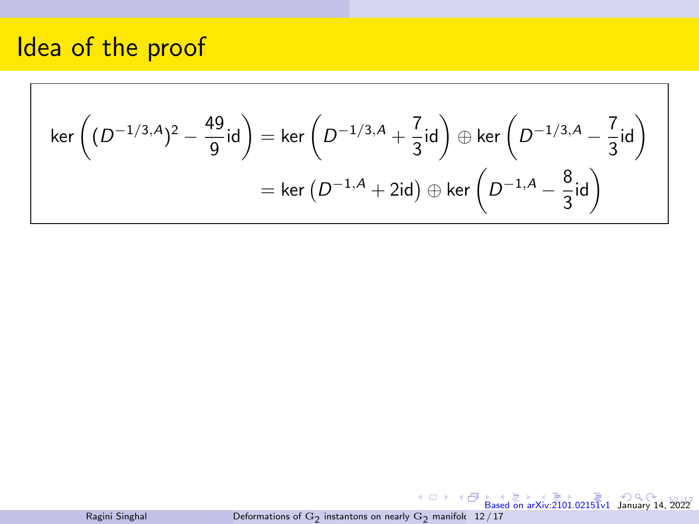<span id="page-27-0"></span>
$$
\ker\left((D^{-1/3,A})^2 - \frac{49}{9}\text{id}\right) = \ker\left(D^{-1/3,A} + \frac{7}{3}\text{id}\right) \oplus \ker\left(D^{-1/3,A} - \frac{7}{3}\text{id}\right)
$$

$$
= \ker\left(D^{-1,A} + 2\text{id}\right) \oplus \ker\left(D^{-1,A} - \frac{8}{3}\text{id}\right)
$$

[Ba](#page-29-0)[sed](#page-0-0) [on ar](#page-41-0)[Xiv:2](#page-0-0)[101.](#page-41-0)[0215](#page-0-0) $\overline{1}$ v1 January 14, 2022 Ragini Singhal Deformations of  $\mathrm{G}_2$  [instantons on nearly](#page-0-0)  $\mathrm{G}_2$  manifold  $~12/17$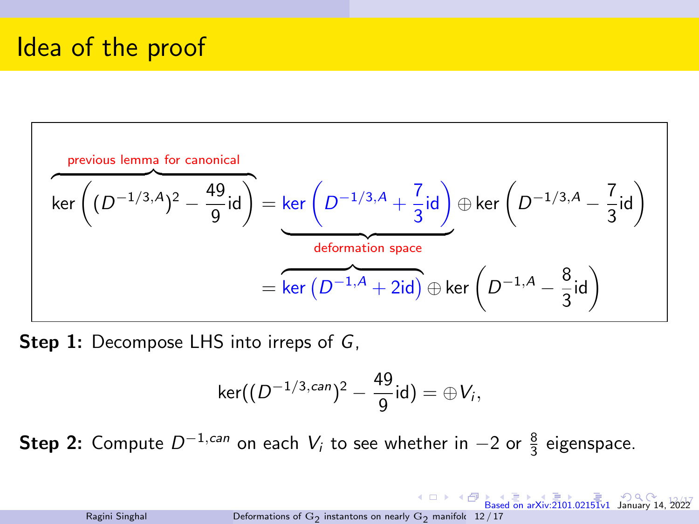<span id="page-28-0"></span>

**Step 1:** Decompose LHS into irreps of G,

$$
\ker((D^{-1/3,can})^2-\frac{49}{9}id)=\oplus V_i,
$$

**Step 2:** Compute  $D^{-1,can}$  on each  $V_i$  to see whether in  $-2$  or  $\frac{8}{3}$  eigenspace.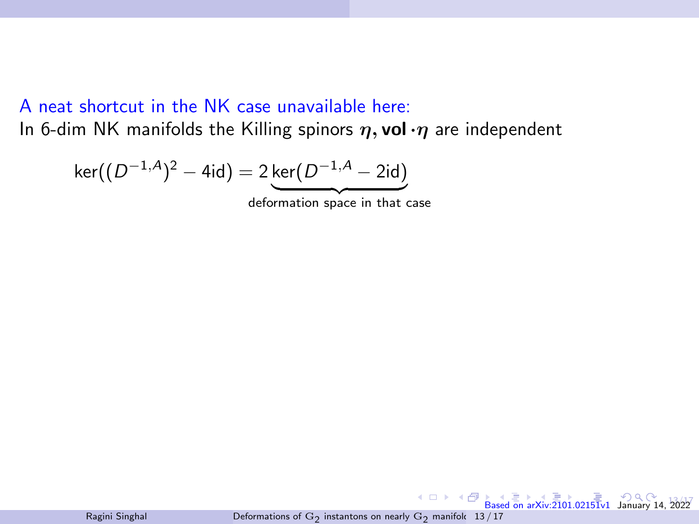### <span id="page-29-0"></span>A neat shortcut in the NK case unavailable here: In 6-dim NK manifolds the Killing spinors  $\eta$ , vol  $\eta$  are independent

$$
\ker((D^{-1,A})^2 - 4\mathrm{id}) = 2\ker(D^{-1,A} - 2\mathrm{id})
$$

deformation space in that case

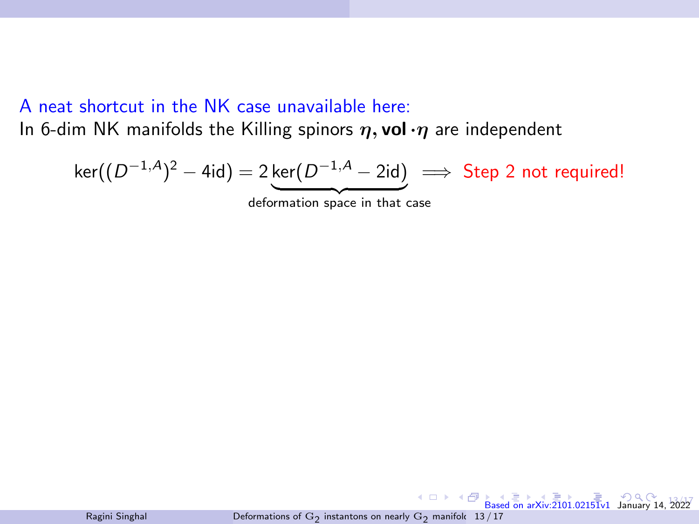### A neat shortcut in the NK case unavailable here: In 6-dim NK manifolds the Killing spinors  $\eta$ , vol  $\eta$  are independent

$$
\ker((D^{-1,A})^2 - 4\mathrm{id}) = 2\underbrace{\ker(D^{-1,A} - 2\mathrm{id})} \implies \text{Step 2 not required!}
$$

deformation space in that case

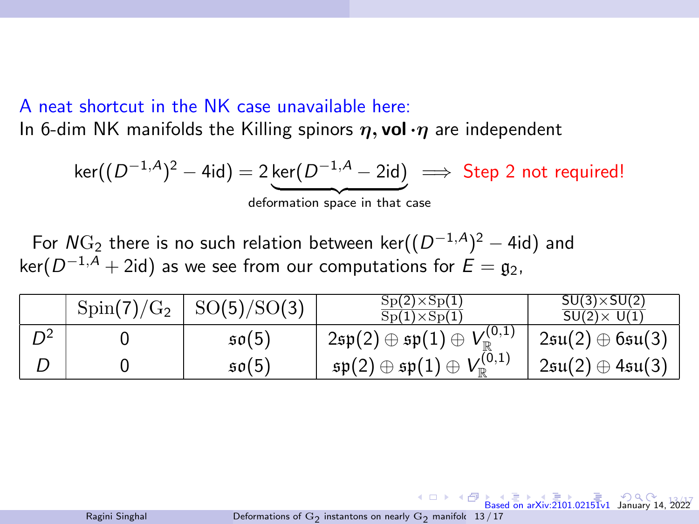### <span id="page-31-0"></span>A neat shortcut in the NK case unavailable here:

In 6-dim NK manifolds the Killing spinors  $\eta$ , vol  $\eta$  are independent

$$
\ker((D^{-1,A})^2 - 4\mathrm{id}) = 2\ker(D^{-1,A} - 2\mathrm{id}) \implies \text{Step 2 not required!}
$$

deformation space in that case

For  $N\mathrm{G}_2$  there is no such relation between ker $((D^{-1,A})^2-4\mathsf{id})$  and ker $(D^{-1,A}+2\mathsf{id})$  as we see from our computations for  $\mathsf{E}=\mathfrak{g}_2,$ 

|                | $Spin(7)/G_2$ | SO(5)/SO(3)        | $Sp(2)\times Sp(1)$<br>$Sp(1)\times Sp(1)$                                                             | $SU(3)\times SU(2)$<br>$SU(2) \times U(1)$  |
|----------------|---------------|--------------------|--------------------------------------------------------------------------------------------------------|---------------------------------------------|
| $\mathsf{D}^2$ |               | $\mathfrak{so}(5)$ | $^+$ 2 $\mathfrak{sp}(2)\oplus\mathfrak{sp}(1)\oplus V^{(0,1)}_{\mathbb{R}}$ .                         | $2\mathfrak{su}(2)\oplus 6\mathfrak{su}(3)$ |
|                |               | 50(5)              | $V^{(0,1)}_{\scriptscriptstyle\rm I\hspace{-1pt}P}$<br>$\mathfrak{sp}(2)\oplus \mathfrak{sp}(1)\oplus$ | $2\mathfrak{su}(2)\oplus 4\mathfrak{su}(3)$ |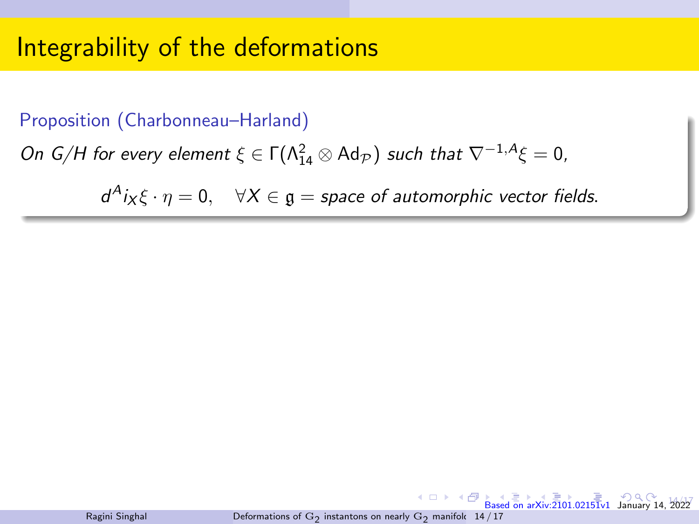#### <span id="page-32-0"></span>Proposition (Charbonneau–Harland)

On G/H for every element  $\xi \in \Gamma(\Lambda_{14}^2 \otimes \text{Ad}_{\mathcal{P}})$  such that  $\nabla^{-1,A}\xi = 0$ ,

 $d^A i_X \xi \cdot \eta = 0$ ,  $\forall X \in \mathfrak{g} = \text{space of automorphic vector fields.}$ 



4 0 8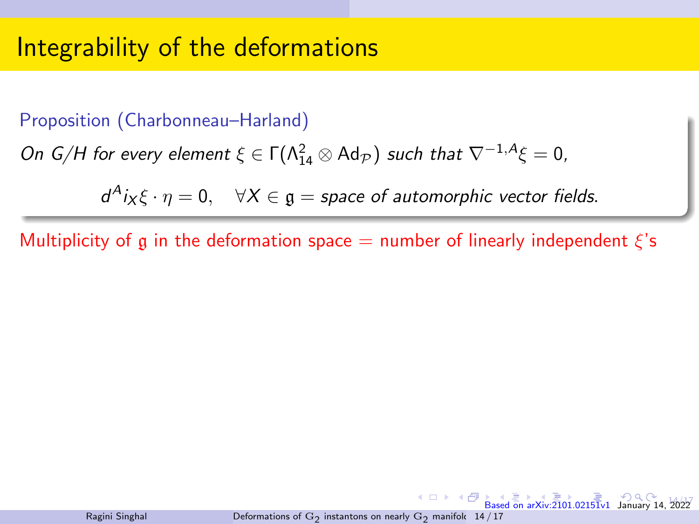#### Proposition (Charbonneau–Harland)

On G/H for every element  $\xi \in \Gamma(\Lambda_{14}^2 \otimes \text{Ad}_{\mathcal{P}})$  such that  $\nabla^{-1,A}\xi = 0$ ,

 $d^A i_X \xi \cdot \eta = 0$ ,  $\forall X \in \mathfrak{g} = \text{space of automorphic vector fields.}$ 

Multiplicity of g in the deformation space  $=$  number of linearly independent  $\xi$ 's



 $14h57$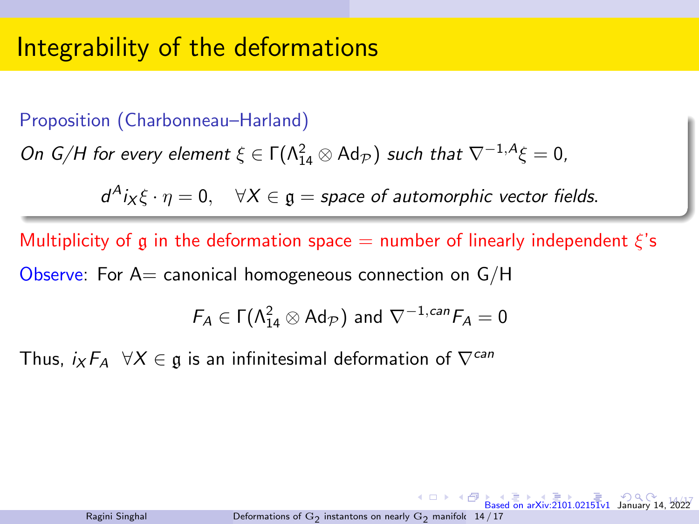### Proposition (Charbonneau–Harland)

On G/H for every element  $\xi \in \Gamma(\Lambda_{14}^2 \otimes \text{Ad}_{\mathcal{P}})$  such that  $\nabla^{-1,A}\xi = 0$ ,

 $d^A i_X \xi \cdot \eta = 0$ ,  $\forall X \in \mathfrak{g} = \text{space of automorphic vector fields.}$ 

Multiplicity of g in the deformation space  $=$  number of linearly independent  $\xi$ 's Observe: For  $A=$  canonical homogeneous connection on  $G/H$ 

$$
F_A \in \Gamma(\Lambda_{14}^2 \otimes \text{Ad}_{\mathcal{P}}) \text{ and } \nabla^{-1,can} F_A = 0
$$

Thus,  $i_X F_A \quad \forall X \in \mathfrak{g}$  is an infinitesimal deformation of  $\nabla^{can}$ 

 $14h57$ 

 $\overline{B}$  [Ba](#page-37-0)[sed](#page-0-0) [on ar](#page-41-0)[Xiv:2](#page-0-0)[101.](#page-41-0)[0215](#page-0-0)1v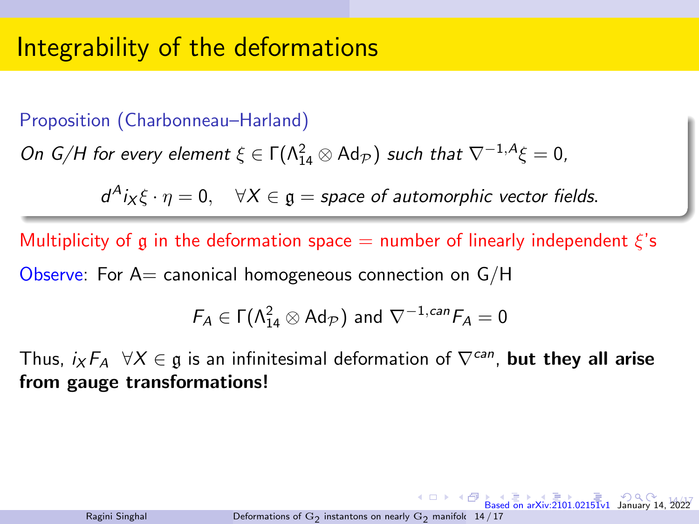### Proposition (Charbonneau–Harland)

On G/H for every element  $\xi \in \Gamma(\Lambda_{14}^2 \otimes \text{Ad}_{\mathcal{P}})$  such that  $\nabla^{-1,A}\xi = 0$ ,

 $d^A i_X \xi \cdot \eta = 0$ ,  $\forall X \in \mathfrak{g} = \text{space of automorphic vector fields.}$ 

Multiplicity of g in the deformation space  $=$  number of linearly independent  $\xi$ 's Observe: For  $A=$  canonical homogeneous connection on  $G/H$ 

$$
F_A \in \Gamma(\Lambda_{14}^2 \otimes \text{Ad}_{\mathcal{P}}) \text{ and } \nabla^{-1,can} F_A = 0
$$

Thus,  $i_X F_A \forall X \in \mathfrak{g}$  is an infinitesimal deformation of  $\nabla^{can}$ , but they all arise from gauge transformations!

 $14h57$ 

 $\overline{\mathbb{B}}$   $\cap$   $\mathbb{C}$  Ra[sed](#page-0-0) [on ar](#page-41-0)Xiv: 2[101.](#page-41-0)[0215](#page-0-0)[1v1](#page-41-0) January 14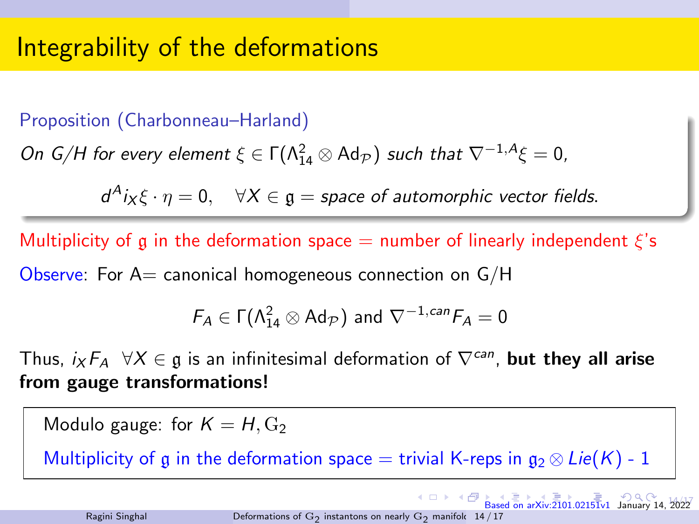### <span id="page-36-0"></span>Proposition (Charbonneau–Harland)

On G/H for every element  $\xi \in \Gamma(\Lambda_{14}^2 \otimes \text{Ad}_{\mathcal{P}})$  such that  $\nabla^{-1,A}\xi = 0$ ,

 $d^A i_X \xi \cdot \eta = 0$ ,  $\forall X \in \mathfrak{g} = \text{space of automorphic vector fields.}$ 

Multiplicity of g in the deformation space  $=$  number of linearly independent  $\xi$ 's Observe: For  $A=$  canonical homogeneous connection on  $G/H$ 

$$
F_A \in \Gamma(\Lambda_{14}^2 \otimes \text{Ad}_{\mathcal{P}}) \text{ and } \nabla^{-1,can} F_A = 0
$$

Thus,  $i_X F_A \forall X \in \mathfrak{g}$  is an infinitesimal deformation of  $\nabla^{can}$ , but they all arise from gauge transformations!

Modulo gauge: for  $K = H, G<sub>2</sub>$ 

Multiplicity of g in the deformation space = trivial K-reps in  $g_2 \otimes Lie(K)$  - 1

 $14h57$ 

 $\overline{B}$  [Ba](#page-37-0)[sed](#page-0-0) [on ar](#page-41-0)[Xiv:2](#page-0-0)[101.](#page-41-0)[0215](#page-0-0)[1v1](#page-41-0) January 14,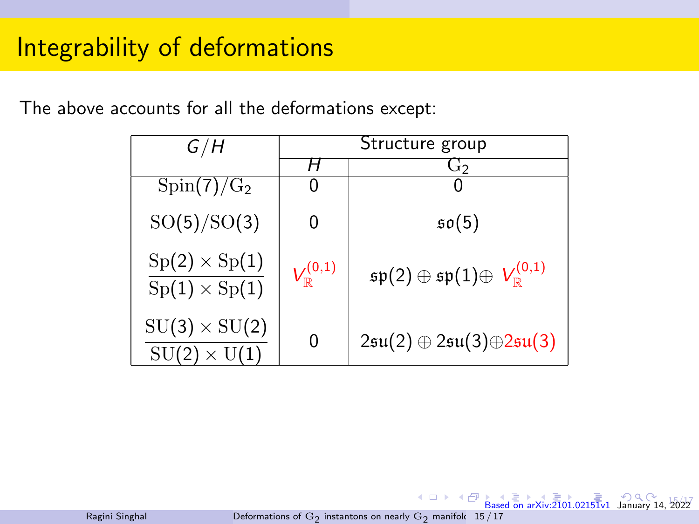<span id="page-37-0"></span>The above accounts for all the deformations except:

| G/H                                         | Structure group          |                                                                        |
|---------------------------------------------|--------------------------|------------------------------------------------------------------------|
|                                             |                          | G2                                                                     |
| $Spin(7)/G_2$                               |                          |                                                                        |
| SO(5)/SO(3)                                 | 0                        | $\mathfrak{so}(5)$                                                     |
| $Sp(2) \times Sp(1)$<br>$Sp(1)\times Sp(1)$ | $V^{(0,1)}_{\mathbb{R}}$ | $\mathfrak{sp}(2)\oplus \mathfrak{sp}(1)\oplus V^{(0,1)}_{\mathbb{R}}$ |
| $SU(3) \times SU(2)$<br>$SU(2) \times U(1)$ | 0                        | $2\mathfrak{su}(2)\oplus 2\mathfrak{su}(3)\oplus 2\mathfrak{su}(3)$    |

Ragini Singhal Deformations of  $\mathrm{G}_2$  [instantons on nearly](#page-0-0)  $\mathrm{G}_2$  manifold  $\,$  15  $/$  17  $\,$ 

 $4.11 +$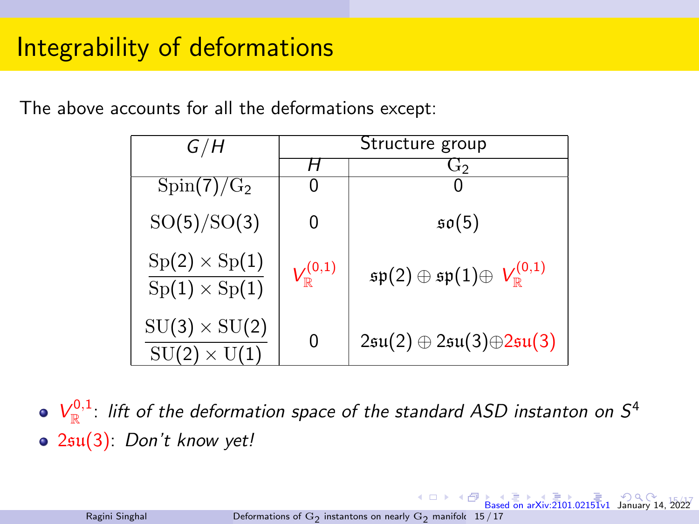The above accounts for all the deformations except:

| G/H                                         | Structure group          |                                                                        |
|---------------------------------------------|--------------------------|------------------------------------------------------------------------|
|                                             |                          | G2                                                                     |
| $Spin(7)/G_2$                               |                          |                                                                        |
| SO(5)/SO(3)                                 | 0                        | $\mathfrak{so}(5)$                                                     |
| $Sp(2) \times Sp(1)$<br>$Sp(1)\times Sp(1)$ | $V_{\mathbb{R}}^{(0,1)}$ | $\mathfrak{sp}(2)\oplus \mathfrak{sp}(1)\oplus V^{(0,1)}_{\mathbb{R}}$ |
| $SU(3) \times SU(2)$<br>$SU(2) \times U(1)$ | 0                        | $2\mathfrak{su}(2)\oplus 2\mathfrak{su}(3)\oplus 2\mathfrak{su}(3)$    |

 $V_{\mathbb{R}}^{0,1}$ : lift of the deformation space of the standard ASD instanton on  $S^4$ 2su(3): Don't know yet!

 $\leftarrow$   $\Box$   $\rightarrow$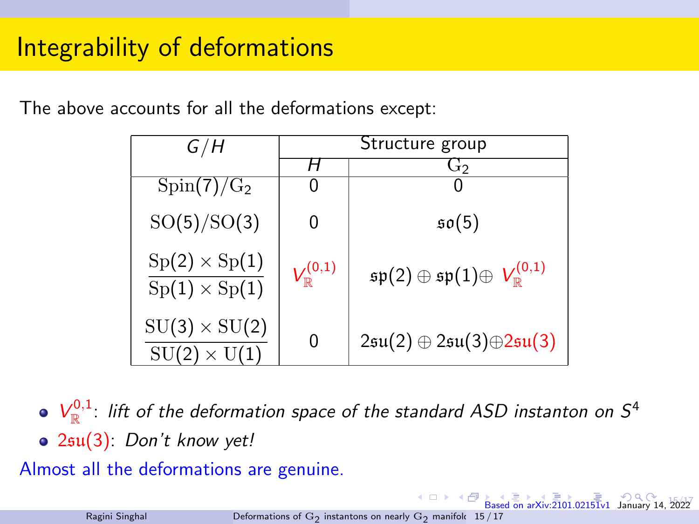<span id="page-39-0"></span>The above accounts for all the deformations except:

| G/H                                         | Structure group          |                                                                        |
|---------------------------------------------|--------------------------|------------------------------------------------------------------------|
|                                             |                          | G2                                                                     |
| $Spin(7)/G_2$                               |                          |                                                                        |
| SO(5)/SO(3)                                 | 0                        | $\mathfrak{so}(5)$                                                     |
| $Sp(2) \times Sp(1)$<br>$Sp(1)\times Sp(1)$ | $V_{\mathbb{R}}^{(0,1)}$ | $\mathfrak{sp}(2)\oplus \mathfrak{sp}(1)\oplus V^{(0,1)}_{\mathbb{R}}$ |
| $SU(3) \times SU(2)$<br>$SU(2) \times U(1)$ | 0                        | $2\mathfrak{su}(2)\oplus 2\mathfrak{su}(3)\oplus 2\mathfrak{su}(3)$    |

 $V_{\mathbb{R}}^{0,1}$ : lift of the deformation space of the standard ASD instanton on  $S^4$ 2su(3): Don't know yet!

Almost all the deformations are genuine.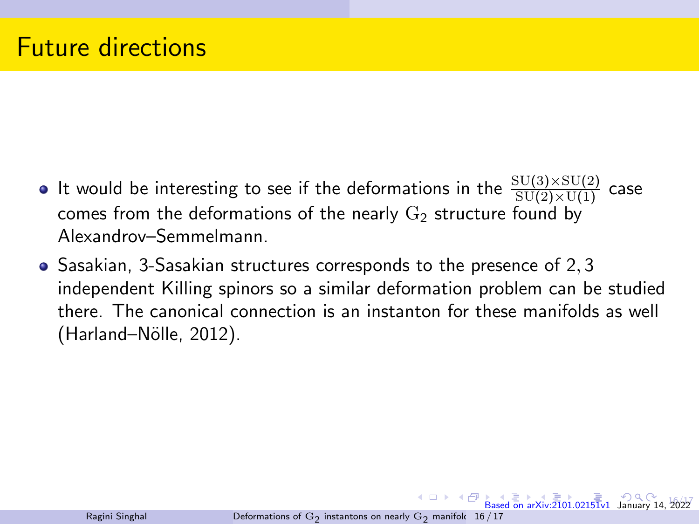- <span id="page-40-0"></span>It would be interesting to see if the deformations in the  $\frac{{\rm SU}(3)\times {\rm SU}(2)}{{\rm SU}(2)\times {\rm U}(1)}$  case comes from the deformations of the nearly  $G_2$  structure found by Alexandrov–Semmelmann.
- Sasakian, 3-Sasakian structures corresponds to the presence of 2,3 independent Killing spinors so a similar deformation problem can be studied there. The canonical connection is an instanton for these manifolds as well (Harland–Nölle, 2012).

16/17

 $\overline{\mathbf{B}}$  [Ba](#page-41-0)[sed](#page-0-0) [on ar](#page-41-0)[Xiv:2](#page-0-0)[101.](#page-41-0)[0215](#page-0-0)[1v1](#page-41-0) January 14,